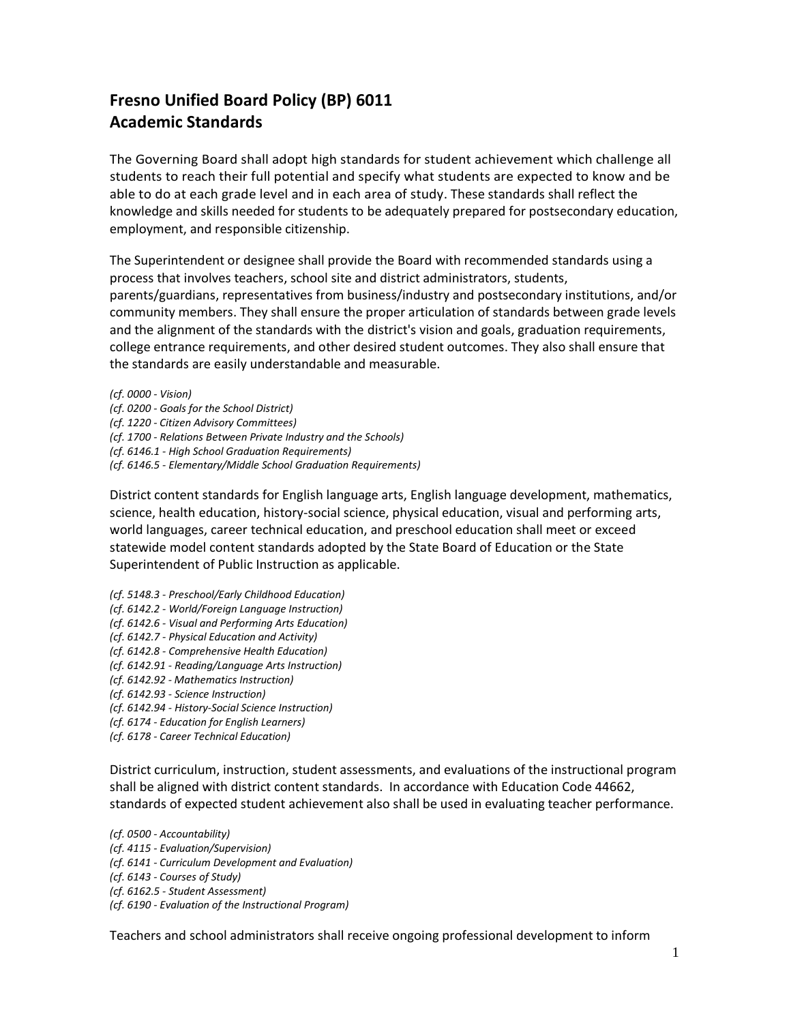## **Fresno Unified Board Policy (BP) 6011 Academic Standards**

The Governing Board shall adopt high standards for student achievement which challenge all students to reach their full potential and specify what students are expected to know and be able to do at each grade level and in each area of study. These standards shall reflect the knowledge and skills needed for students to be adequately prepared for postsecondary education, employment, and responsible citizenship.

The Superintendent or designee shall provide the Board with recommended standards using a process that involves teachers, school site and district administrators, students, parents/guardians, representatives from business/industry and postsecondary institutions, and/or community members. They shall ensure the proper articulation of standards between grade levels and the alignment of the standards with the district's vision and goals, graduation requirements, college entrance requirements, and other desired student outcomes. They also shall ensure that the standards are easily understandable and measurable.

*(cf. 0000 - Vision) (cf. 0200 - Goals for the School District) (cf. 1220 - Citizen Advisory Committees) (cf. 1700 - Relations Between Private Industry and the Schools) (cf. 6146.1 - High School Graduation Requirements) (cf. 6146.5 - Elementary/Middle School Graduation Requirements)*

District content standards for English language arts, English language development, mathematics, science, health education, history-social science, physical education, visual and performing arts, world languages, career technical education, and preschool education shall meet or exceed statewide model content standards adopted by the State Board of Education or the State Superintendent of Public Instruction as applicable.

- *(cf. 5148.3 - Preschool/Early Childhood Education)*
- *(cf. 6142.2 - World/Foreign Language Instruction)*
- *(cf. 6142.6 - Visual and Performing Arts Education)*
- *(cf. 6142.7 - Physical Education and Activity)*
- *(cf. 6142.8 - Comprehensive Health Education)*
- *(cf. 6142.91 - Reading/Language Arts Instruction)*
- *(cf. 6142.92 - Mathematics Instruction)*
- *(cf. 6142.93 - Science Instruction)*
- *(cf. 6142.94 - History-Social Science Instruction)*
- *(cf. 6174 - Education for English Learners)*
- *(cf. 6178 - Career Technical Education)*

District curriculum, instruction, student assessments, and evaluations of the instructional program shall be aligned with district content standards. In accordance with Education Code 44662, standards of expected student achievement also shall be used in evaluating teacher performance.

*(cf. 0500 - Accountability) (cf. 4115 - Evaluation/Supervision) (cf. 6141 - Curriculum Development and Evaluation) (cf. 6143 - Courses of Study) (cf. 6162.5 - Student Assessment) (cf. 6190 - Evaluation of the Instructional Program)*

Teachers and school administrators shall receive ongoing professional development to inform